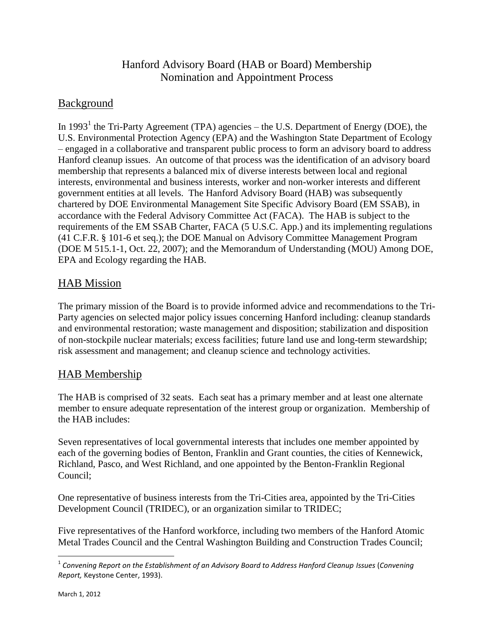# Hanford Advisory Board (HAB or Board) Membership Nomination and Appointment Process

# Background

In 1993<sup>1</sup> the Tri-Party Agreement (TPA) agencies – the U.S. Department of Energy (DOE), the U.S. Environmental Protection Agency (EPA) and the Washington State Department of Ecology – engaged in a collaborative and transparent public process to form an advisory board to address Hanford cleanup issues. An outcome of that process was the identification of an advisory board membership that represents a balanced mix of diverse interests between local and regional interests, environmental and business interests, worker and non-worker interests and different government entities at all levels. The Hanford Advisory Board (HAB) was subsequently chartered by DOE Environmental Management Site Specific Advisory Board (EM SSAB), in accordance with the Federal Advisory Committee Act (FACA). The HAB is subject to the requirements of the EM SSAB Charter, FACA (5 U.S.C. App.) and its implementing regulations (41 C.F.R. § 101-6 et seq.); the DOE Manual on Advisory Committee Management Program (DOE M 515.1-1, Oct. 22, 2007); and the Memorandum of Understanding (MOU) Among DOE, EPA and Ecology regarding the HAB.

### HAB Mission

The primary mission of the Board is to provide informed advice and recommendations to the Tri-Party agencies on selected major policy issues concerning Hanford including: cleanup standards and environmental restoration; waste management and disposition; stabilization and disposition of non-stockpile nuclear materials; excess facilities; future land use and long-term stewardship; risk assessment and management; and cleanup science and technology activities.

# HAB Membership

The HAB is comprised of 32 seats. Each seat has a primary member and at least one alternate member to ensure adequate representation of the interest group or organization. Membership of the HAB includes:

Seven representatives of local governmental interests that includes one member appointed by each of the governing bodies of Benton, Franklin and Grant counties, the cities of Kennewick, Richland, Pasco, and West Richland, and one appointed by the Benton-Franklin Regional Council;

One representative of business interests from the Tri-Cities area, appointed by the Tri-Cities Development Council (TRIDEC), or an organization similar to TRIDEC;

Five representatives of the Hanford workforce, including two members of the Hanford Atomic Metal Trades Council and the Central Washington Building and Construction Trades Council;

l

<sup>1</sup> *Convening Report on the Establishment of an Advisory Board to Address Hanford Cleanup Issues* (*Convening Report,* Keystone Center, 1993).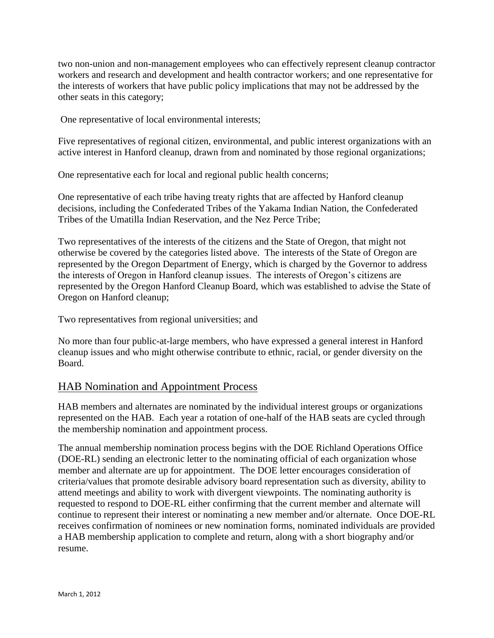two non-union and non-management employees who can effectively represent cleanup contractor workers and research and development and health contractor workers; and one representative for the interests of workers that have public policy implications that may not be addressed by the other seats in this category;

One representative of local environmental interests;

Five representatives of regional citizen, environmental, and public interest organizations with an active interest in Hanford cleanup, drawn from and nominated by those regional organizations;

One representative each for local and regional public health concerns;

One representative of each tribe having treaty rights that are affected by Hanford cleanup decisions, including the Confederated Tribes of the Yakama Indian Nation, the Confederated Tribes of the Umatilla Indian Reservation, and the Nez Perce Tribe;

Two representatives of the interests of the citizens and the State of Oregon, that might not otherwise be covered by the categories listed above. The interests of the State of Oregon are represented by the Oregon Department of Energy, which is charged by the Governor to address the interests of Oregon in Hanford cleanup issues. The interests of Oregon's citizens are represented by the Oregon Hanford Cleanup Board, which was established to advise the State of Oregon on Hanford cleanup;

Two representatives from regional universities; and

No more than four public-at-large members, who have expressed a general interest in Hanford cleanup issues and who might otherwise contribute to ethnic, racial, or gender diversity on the Board.

#### HAB Nomination and Appointment Process

HAB members and alternates are nominated by the individual interest groups or organizations represented on the HAB. Each year a rotation of one-half of the HAB seats are cycled through the membership nomination and appointment process.

The annual membership nomination process begins with the DOE Richland Operations Office (DOE-RL) sending an electronic letter to the nominating official of each organization whose member and alternate are up for appointment. The DOE letter encourages consideration of criteria/values that promote desirable advisory board representation such as diversity, ability to attend meetings and ability to work with divergent viewpoints. The nominating authority is requested to respond to DOE-RL either confirming that the current member and alternate will continue to represent their interest or nominating a new member and/or alternate. Once DOE-RL receives confirmation of nominees or new nomination forms, nominated individuals are provided a HAB membership application to complete and return, along with a short biography and/or resume.